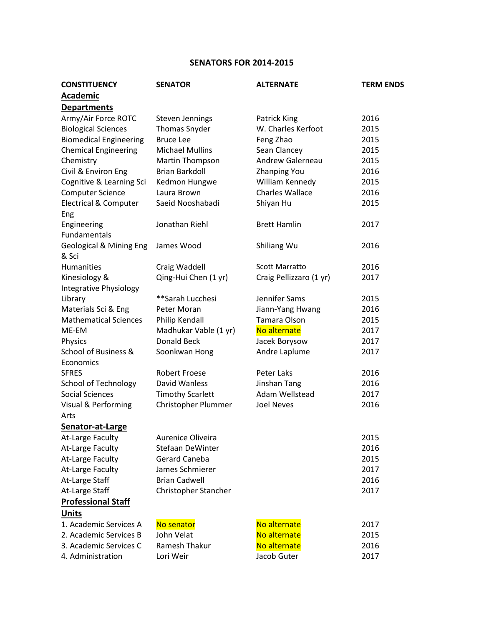## **SENATORS FOR 2014-2015**

| <b>CONSTITUENCY</b>                         | <b>SENATOR</b>          | <b>ALTERNATE</b>        | <b>TERM ENDS</b> |
|---------------------------------------------|-------------------------|-------------------------|------------------|
| <b>Academic</b>                             |                         |                         |                  |
| <b>Departments</b>                          |                         |                         |                  |
| Army/Air Force ROTC                         | <b>Steven Jennings</b>  | Patrick King            | 2016             |
| <b>Biological Sciences</b>                  | Thomas Snyder           | W. Charles Kerfoot      | 2015             |
| <b>Biomedical Engineering</b>               | <b>Bruce Lee</b>        | Feng Zhao               | 2015             |
| <b>Chemical Engineering</b>                 | <b>Michael Mullins</b>  | Sean Clancey            | 2015             |
| Chemistry                                   | Martin Thompson         | Andrew Galerneau        | 2015             |
| Civil & Environ Eng                         | <b>Brian Barkdoll</b>   | <b>Zhanping You</b>     | 2016             |
| Cognitive & Learning Sci                    | Kedmon Hungwe           | William Kennedy         | 2015             |
| <b>Computer Science</b>                     | Laura Brown             | <b>Charles Wallace</b>  | 2016             |
| <b>Electrical &amp; Computer</b><br>Eng     | Saeid Nooshabadi        | Shiyan Hu               | 2015             |
| Engineering<br><b>Fundamentals</b>          | Jonathan Riehl          | <b>Brett Hamlin</b>     | 2017             |
| <b>Geological &amp; Mining Eng</b><br>& Sci | James Wood              | Shiliang Wu             | 2016             |
| <b>Humanities</b>                           | Craig Waddell           | <b>Scott Marratto</b>   | 2016             |
| Kinesiology &                               | Qing-Hui Chen (1 yr)    | Craig Pellizzaro (1 yr) | 2017             |
| Integrative Physiology                      |                         |                         |                  |
| Library                                     | **Sarah Lucchesi        | Jennifer Sams           | 2015             |
| Materials Sci & Eng                         | Peter Moran             | Jiann-Yang Hwang        | 2016             |
| <b>Mathematical Sciences</b>                | Philip Kendall          | Tamara Olson            | 2015             |
| ME-EM                                       | Madhukar Vable (1 yr)   | No alternate            | 2017             |
| Physics                                     | Donald Beck             | Jacek Borysow           | 2017             |
| School of Business &                        | Soonkwan Hong           | Andre Laplume           | 2017             |
| Economics                                   |                         |                         |                  |
| <b>SFRES</b>                                | <b>Robert Froese</b>    | Peter Laks              | 2016             |
| <b>School of Technology</b>                 | David Wanless           | Jinshan Tang            | 2016             |
| <b>Social Sciences</b>                      | <b>Timothy Scarlett</b> | Adam Wellstead          | 2017             |
| Visual & Performing                         | Christopher Plummer     | <b>Joel Neves</b>       | 2016             |
| Arts                                        |                         |                         |                  |
| Senator-at-Large                            |                         |                         |                  |
| <b>At-Large Faculty</b>                     | Aurenice Oliveira       |                         | 2015             |
| At-Large Faculty                            | <b>Stefaan DeWinter</b> |                         | 2016             |
| At-Large Faculty                            | Gerard Caneba           |                         | 2015             |
| At-Large Faculty                            | James Schmierer         |                         | 2017             |
| At-Large Staff                              | <b>Brian Cadwell</b>    |                         | 2016             |
| At-Large Staff                              | Christopher Stancher    |                         | 2017             |
| <b>Professional Staff</b>                   |                         |                         |                  |
| <b>Units</b>                                |                         |                         |                  |
| 1. Academic Services A                      | No senator              | No alternate            | 2017             |
| 2. Academic Services B                      | John Velat              | No alternate            | 2015             |
| 3. Academic Services C                      | Ramesh Thakur           | No alternate            | 2016             |
| 4. Administration                           | Lori Weir               | Jacob Guter             | 2017             |